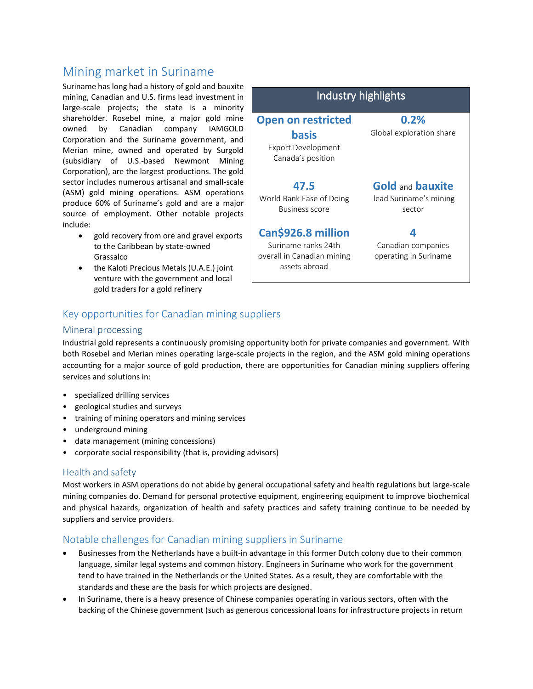# Mining market in Suriname

Suriname has long had a history of gold and bauxite mining, Canadian and U.S. firms lead investment in large-scale projects; the state is a minority shareholder. Rosebel mine, a major gold mine owned by Canadian company IAMGOLD Corporation and the Suriname government, and Merian mine, owned and operated by Surgold (subsidiary of U.S.-based Newmont Mining Corporation), are the largest productions. The gold sector includes numerous artisanal and small-scale (ASM) gold mining operations. ASM operations produce 60% of Suriname's gold and are a major source of employment. Other notable projects include:

- gold recovery from ore and gravel exports to the Caribbean by state-owned Grassalco
- the Kaloti Precious Metals (U.A.E.) joint venture with the government and local gold traders for a gold refinery



# Key opportunities for Canadian mining suppliers

#### Mineral processing

Industrial gold represents a continuously promising opportunity both for private companies and government. With both Rosebel and Merian mines operating large-scale projects in the region, and the ASM gold mining operations accounting for a major source of gold production, there are opportunities for Canadian mining suppliers offering services and solutions in:

- specialized drilling services
- geological studies and surveys
- training of mining operators and mining services
- underground mining
- data management (mining concessions)
- corporate social responsibility (that is, providing advisors)

#### Health and safety

Most workers in ASM operations do not abide by general occupational safety and health regulations but large-scale mining companies do. Demand for personal protective equipment, engineering equipment to improve biochemical and physical hazards, organization of health and safety practices and safety training continue to be needed by suppliers and service providers.

## Notable challenges for Canadian mining suppliers in Suriname

- Businesses from the Netherlands have a built-in advantage in this former Dutch colony due to their common language, similar legal systems and common history. Engineers in Suriname who work for the government tend to have trained in the Netherlands or the United States. As a result, they are comfortable with the standards and these are the basis for which projects are designed.
- In Suriname, there is a heavy presence of Chinese companies operating in various sectors, often with the backing of the Chinese government (such as generous concessional loans for infrastructure projects in return